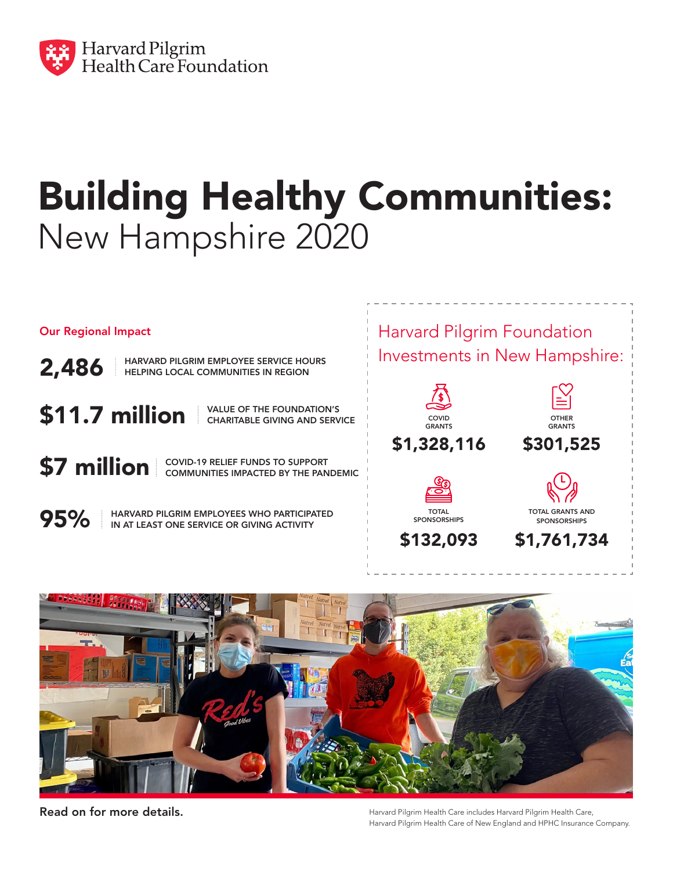

## Building Healthy Communities: New Hampshire 2020

Our Regional Impact

2,486 HARVARD PILGRIM EMPLOYEE SERVICE HOURS HELPING LOCAL COMMUNITIES IN REGION

 $\$11.7$  million  $\parallel$ <sup>VALUE OF THE FOUNDATION'S</sup>

CHARITABLE GIVING AND SERVICE

**\$7 million** COVID-19 RELIEF FUNDS TO SUPPORT COMMUNITIES IMPACTED BY THE PANDEMIC

95%

HARVARD PILGRIM EMPLOYEES WHO PARTICIPATED IN AT LEAST ONE SERVICE OR GIVING ACTIVITY





Read on for more details.

Harvard Pilgrim Health Care includes Harvard Pilgrim Health Care, Harvard Pilgrim Health Care of New England and HPHC Insurance Company.